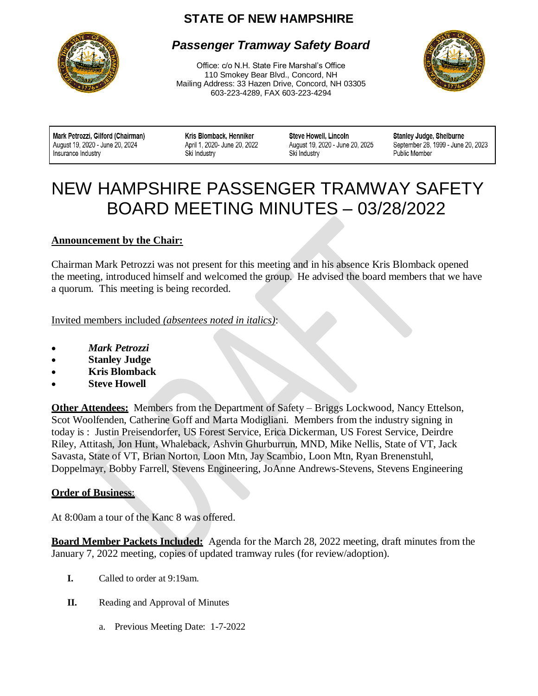# **STATE OF NEW HAMPSHIRE**



# *Passenger Tramway Safety Board*

Office: c/o N.H. State Fire Marshal's Office 110 Smokey Bear Blvd., Concord, NH Mailing Address: 33 Hazen Drive, Concord, NH 03305 603-223-4289, FAX 603-223-4294



Mark Petrozzi, Gilford (Chairman) August 19, 2020 - June 20, 2024 Insurance Industry

Kris Blomback, Henniker April 1, 2020- June 20, 2022 Ski Industry

Steve Howell, Lincoln August 19, 2020 - June 20, 2025 Ski Industry

Stanley Judge, Shelburne September 28, 1999 - June 20, 2023 **Public Member** 

# $\overline{a}$ NEW HAMPSHIRE PASSENGER TRAMWAY SAFETY BOARD MEETING MINUTES – 03/28/2022

## **Announcement by the Chair:**

Chairman Mark Petrozzi was not present for this meeting and in his absence Kris Blomback opened the meeting, introduced himself and welcomed the group. He advised the board members that we have a quorum. This meeting is being recorded.

Invited members included *(absentees noted in italics)*:

- *Mark Petrozzi*
- **Stanley Judge**
- **Kris Blomback**
- **Steve Howell**

**Other Attendees:** Members from the Department of Safety – Briggs Lockwood, Nancy Ettelson, Scot Woolfenden, Catherine Goff and Marta Modigliani. Members from the industry signing in today is : Justin Preisendorfer, US Forest Service, Erica Dickerman, US Forest Service, Deirdre Riley, Attitash, Jon Hunt, Whaleback, Ashvin Ghurburrun, MND, Mike Nellis, State of VT, Jack Savasta, State of VT, Brian Norton, Loon Mtn, Jay Scambio, Loon Mtn, Ryan Brenenstuhl, Doppelmayr, Bobby Farrell, Stevens Engineering, JoAnne Andrews-Stevens, Stevens Engineering

## **Order of Business**:

At 8:00am a tour of the Kanc 8 was offered.

**Board Member Packets Included:** Agenda for the March 28, 2022 meeting, draft minutes from the January 7, 2022 meeting, copies of updated tramway rules (for review/adoption).

- **I.** Called to order at 9:19am.
- **II.** Reading and Approval of Minutes
	- a. Previous Meeting Date: 1-7-2022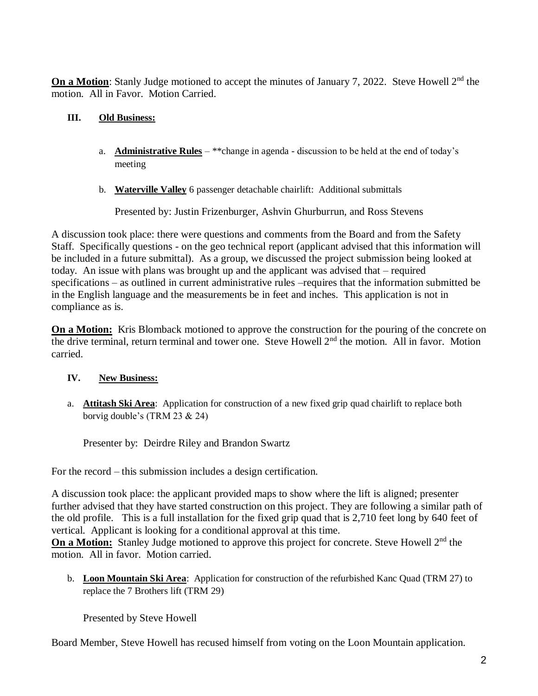**On a Motion**: Stanly Judge motioned to accept the minutes of January 7, 2022. Steve Howell 2<sup>nd</sup> the motion. All in Favor. Motion Carried.

#### **III. Old Business:**

- a. **Administrative Rules** \*\*change in agenda discussion to be held at the end of today's meeting
- b. **Waterville Valley** 6 passenger detachable chairlift: Additional submittals

Presented by: Justin Frizenburger, Ashvin Ghurburrun, and Ross Stevens

A discussion took place: there were questions and comments from the Board and from the Safety Staff. Specifically questions - on the geo technical report (applicant advised that this information will be included in a future submittal). As a group, we discussed the project submission being looked at today. An issue with plans was brought up and the applicant was advised that – required specifications – as outlined in current administrative rules –requires that the information submitted be in the English language and the measurements be in feet and inches. This application is not in compliance as is.

**On a Motion:** Kris Blomback motioned to approve the construction for the pouring of the concrete on the drive terminal, return terminal and tower one. Steve Howell 2<sup>nd</sup> the motion. All in favor. Motion carried.

#### **IV. New Business:**

a. **Attitash Ski Area**: Application for construction of a new fixed grip quad chairlift to replace both borvig double's (TRM 23 & 24)

Presenter by: Deirdre Riley and Brandon Swartz

For the record – this submission includes a design certification.

A discussion took place: the applicant provided maps to show where the lift is aligned; presenter further advised that they have started construction on this project. They are following a similar path of the old profile. This is a full installation for the fixed grip quad that is 2,710 feet long by 640 feet of vertical. Applicant is looking for a conditional approval at this time.

**On a Motion:** Stanley Judge motioned to approve this project for concrete. Steve Howell 2<sup>nd</sup> the motion. All in favor. Motion carried.

b. **Loon Mountain Ski Area**: Application for construction of the refurbished Kanc Quad (TRM 27) to replace the 7 Brothers lift (TRM 29)

Presented by Steve Howell

Board Member, Steve Howell has recused himself from voting on the Loon Mountain application.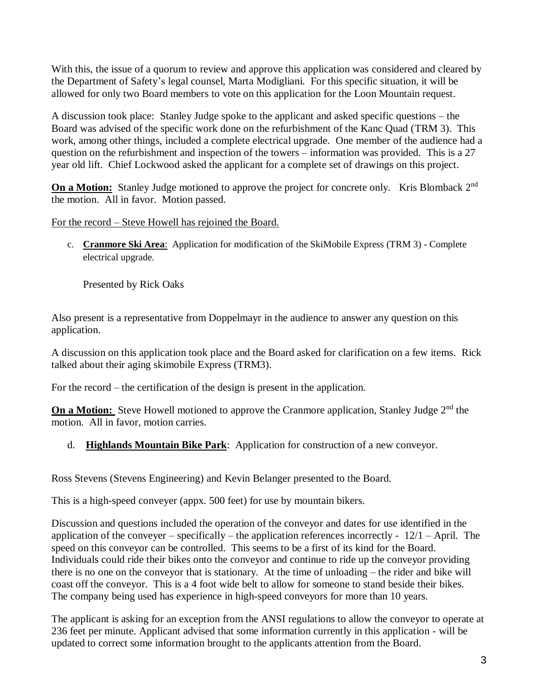With this, the issue of a quorum to review and approve this application was considered and cleared by the Department of Safety's legal counsel, Marta Modigliani. For this specific situation, it will be allowed for only two Board members to vote on this application for the Loon Mountain request.

A discussion took place: Stanley Judge spoke to the applicant and asked specific questions – the Board was advised of the specific work done on the refurbishment of the Kanc Quad (TRM 3). This work, among other things, included a complete electrical upgrade. One member of the audience had a question on the refurbishment and inspection of the towers – information was provided. This is a 27 year old lift. Chief Lockwood asked the applicant for a complete set of drawings on this project.

**On a Motion:** Stanley Judge motioned to approve the project for concrete only. Kris Blomback 2<sup>nd</sup> the motion. All in favor. Motion passed.

For the record – Steve Howell has rejoined the Board.

c. **Cranmore Ski Area**: Application for modification of the SkiMobile Express (TRM 3) - Complete electrical upgrade.

Presented by Rick Oaks

Also present is a representative from Doppelmayr in the audience to answer any question on this application.

A discussion on this application took place and the Board asked for clarification on a few items. Rick talked about their aging skimobile Express (TRM3).

For the record – the certification of the design is present in the application.

**On a Motion:** Steve Howell motioned to approve the Cranmore application, Stanley Judge 2<sup>nd</sup> the motion. All in favor, motion carries.

# d. **Highlands Mountain Bike Park**: Application for construction of a new conveyor.

Ross Stevens (Stevens Engineering) and Kevin Belanger presented to the Board.

This is a high-speed conveyer (appx. 500 feet) for use by mountain bikers.

Discussion and questions included the operation of the conveyor and dates for use identified in the application of the conveyer – specifically – the application references incorrectly -  $12/1$  – April. The speed on this conveyor can be controlled. This seems to be a first of its kind for the Board. Individuals could ride their bikes onto the conveyor and continue to ride up the conveyor providing there is no one on the conveyor that is stationary. At the time of unloading – the rider and bike will coast off the conveyor. This is a 4 foot wide belt to allow for someone to stand beside their bikes. The company being used has experience in high-speed conveyors for more than 10 years.

The applicant is asking for an exception from the ANSI regulations to allow the conveyor to operate at 236 feet per minute. Applicant advised that some information currently in this application - will be updated to correct some information brought to the applicants attention from the Board.